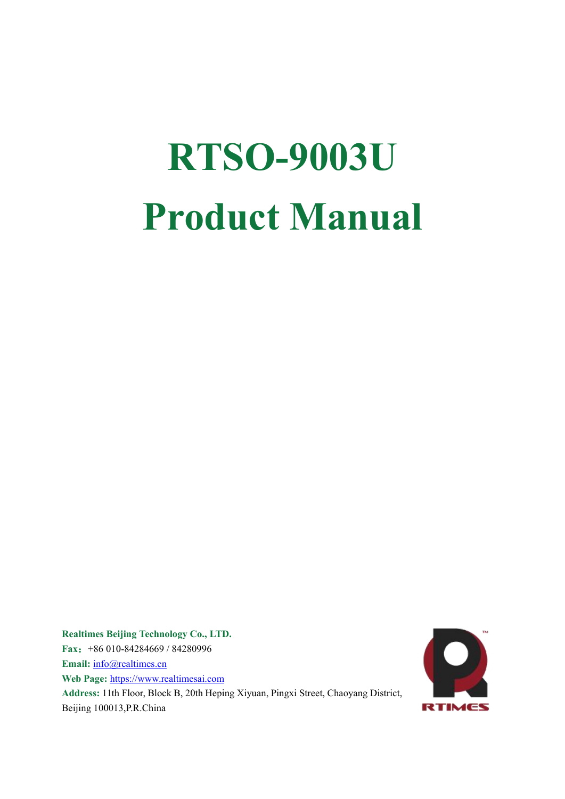# **RTSO-9003U Product Manual**

**Realtimes Beijing Technology Co., LTD. Fax**:+86 010-84284669 / 84280996 **Email:** [info@realtimes.cn](mailto:info@realtimes.cn) **Web Page:** [https://www.realtimesai.com](http://www.realtimes.cn) **Address:** 11th Floor, Block B, 20th Heping Xiyuan, Pingxi Street, Chaoyang District, Beijing 100013,P.R.China

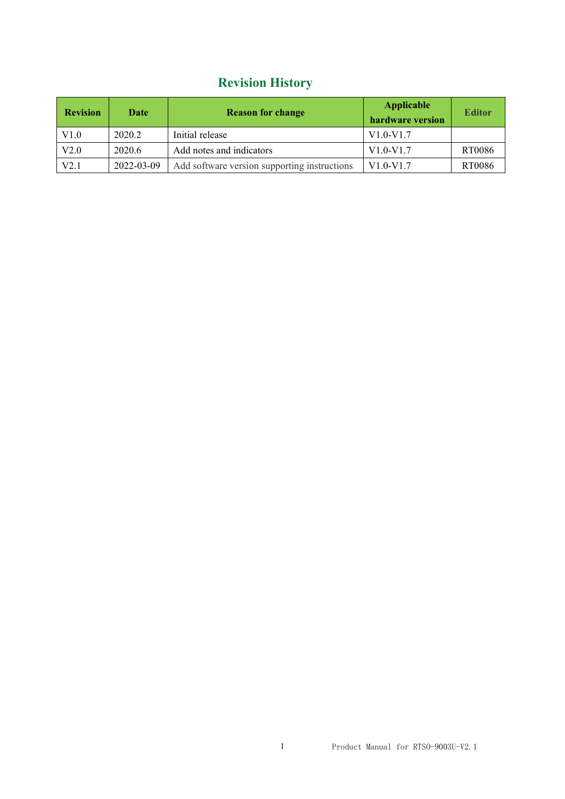## **Revision History**

| <b>Revision</b> | Date       | <b>Reason for change</b>                     | <b>Applicable</b><br>hardware version | <b>Editor</b> |
|-----------------|------------|----------------------------------------------|---------------------------------------|---------------|
| V1.0            | 2020.2     | Initial release                              | $V1.0-V1.7$                           |               |
| V2.0            | 2020.6     | Add notes and indicators                     | $V1.0-V1.7$                           | RT0086        |
| V2.1            | 2022-03-09 | Add software version supporting instructions | $V1.0-V1.7$                           | RT0086        |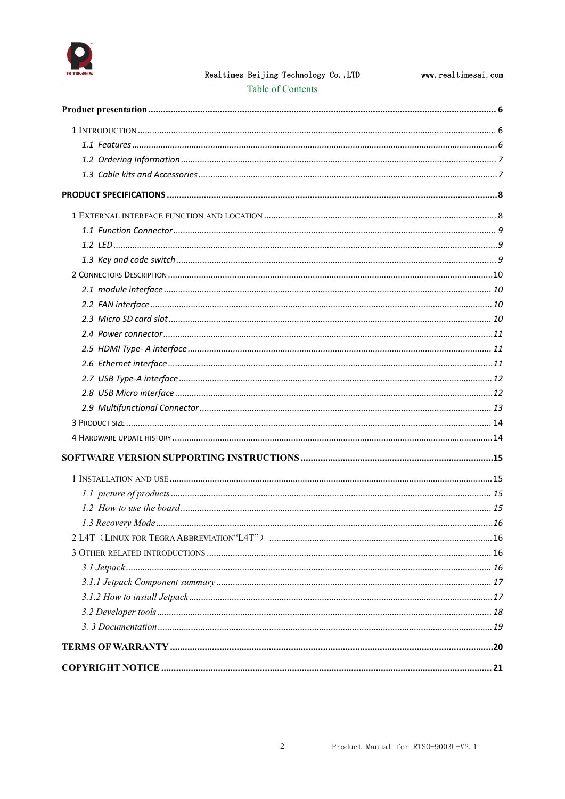

Table of Contents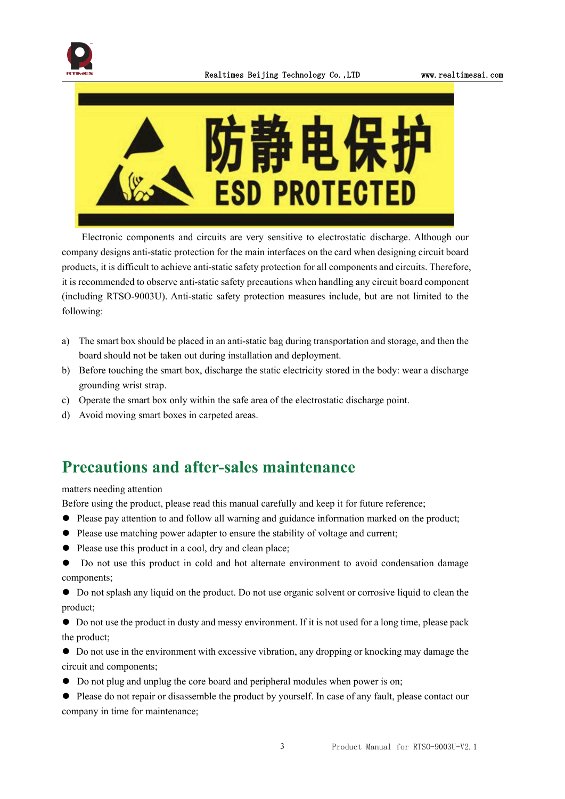



Electronic components and circuits are very sensitive to electrostatic discharge. Although our company designs anti-static protection for the main interfaces on the card when designing circuit board products, it is difficult to achieve anti-static safety protection for all components and circuits. Therefore, it is recommended to observe anti-static safety precautions when handling any circuit board component (including RTSO-9003U). Anti-static safety protection measures include, but are not limited to the following:

- a) The smart box should be placed in an anti-static bag during transportation and storage, and then the board should not be taken out during installation and deployment.
- b) Before touching the smart box, discharge the static electricity stored in the body: wear a discharge grounding wrist strap.
- c) Operate the smart box only within the safe area of the electrostatic discharge point.
- d) Avoid moving smart boxes in carpeted areas.

## **Precautions and after-sales maintenance**

matters needing attention

Before using the product, please read this manual carefully and keep it for future reference;

- ⚫ Please pay attention to and follow all warning and guidance information marked on the product;
- ⚫ Please use matching power adapter to ensure the stability of voltage and current;
- ⚫ Please use this product in a cool, dry and clean place;
- ⚫ Do not use this product in cold and hot alternate environment to avoid condensation damage components;
- ⚫ Do not splash any liquid on the product. Do not use organic solventor corrosive liquid to clean the product;
- ⚫ Do not use the product in dusty and messy environment. If it is not used for a long time, please pack the product;
- ⚫ Do not use in the environment with excessive vibration, any dropping or knocking may damage the circuit and components;
- ⚫ Do not plug and unplug the core board and peripheral modules when power is on;
- $\bullet$  Please do not repair or disassemble the product by yourself. In case of any fault, please contact our company in time for maintenance;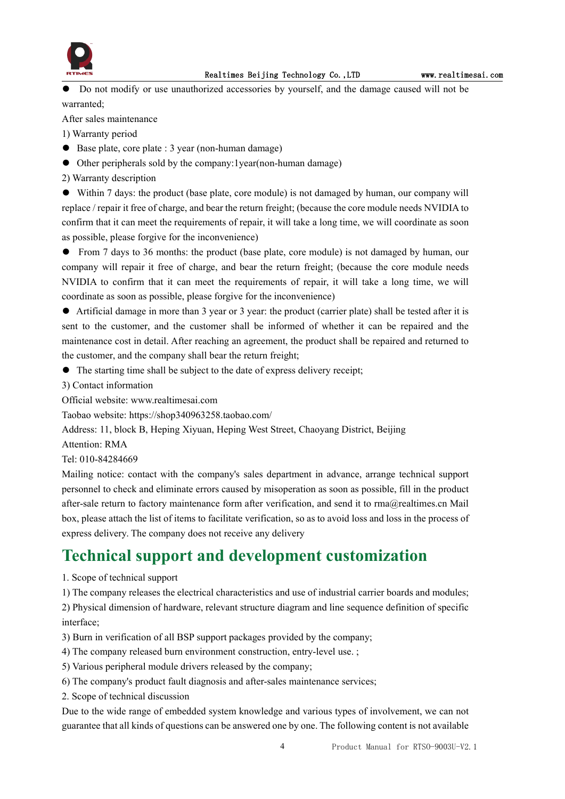

⚫ Do not modify or use unauthorized accessories by yourself, and the damage caused will not be warranted;

After sales maintenance

1) Warranty period

- Base plate, core plate : 3 year (non-human damage)
- ⚫ Other peripherals sold by the company:1year(non-human damage)

2) Warranty description

⚫ Within 7 days: the product (base plate, core module) is not damaged by human, our company will replace / repair it free of charge, and bear the return freight; (because the core module needs NVIDIA to confirm that it can meet the requirements of repair, it will take a long time, we will coordinate as soon as possible, please forgive for the inconvenience)

● From 7 days to 36 months: the product (base plate, core module) is not damaged by human, our company will repair it free of charge, and bear the return freight; (because the core module needs NVIDIA to confirm that it can meet the requirements of repair, it will take a long time, we will coordinate as soon as possible, please forgive for the inconvenience)

⚫ Artificial damage in more than 3 year or 3 year: the product (carrier plate) shall be tested after it is sent to the customer, and the customer shall be informed of whether it can be repaired and the maintenance cost in detail. After reaching an agreement, the product shall be repaired and returned to the customer, and the company shall bear the return freight;

 $\bullet$  The starting time shall be subject to the date of express delivery receipt;

3) Contact information

Official website: www.realtimesai.com

Taobao website: https://shop340963258.taobao.com/

Address: 11, block B, Heping Xiyuan, Heping West Street, Chaoyang District, Beijing

Attention: RMA

Tel: 010-84284669

Mailing notice: contact with the company's sales department in advance, arrange technical support personnel to check and eliminate errors caused by misoperation as soon as possible, fill in the product after-sale return to factory maintenance form after verification, and send it to rma@realtimes.cn Mail box, please attach the list of items to facilitate verification, so as to avoid loss and loss in the process of express delivery. The company does not receive any delivery

## **Technical support and development customization**

1. Scope of technical support

1) The company releases the electrical characteristics and use of industrial carrier boards and modules;

2) Physical dimension of hardware, relevant structure diagram and line sequence definition of specific interface;

- 3) Burn in verification of all BSP support packages provided by the company;
- 4) The company released burn environment construction, entry-level use. ;
- 5) Various peripheral module drivers released by the company;
- 6) The company's product fault diagnosis and after-sales maintenance services;
- 2. Scope of technical discussion

Due to the wide range of embedded system knowledge and various types of involvement, we can not guarantee that all kinds of questions can be answered one by one. The following content is not available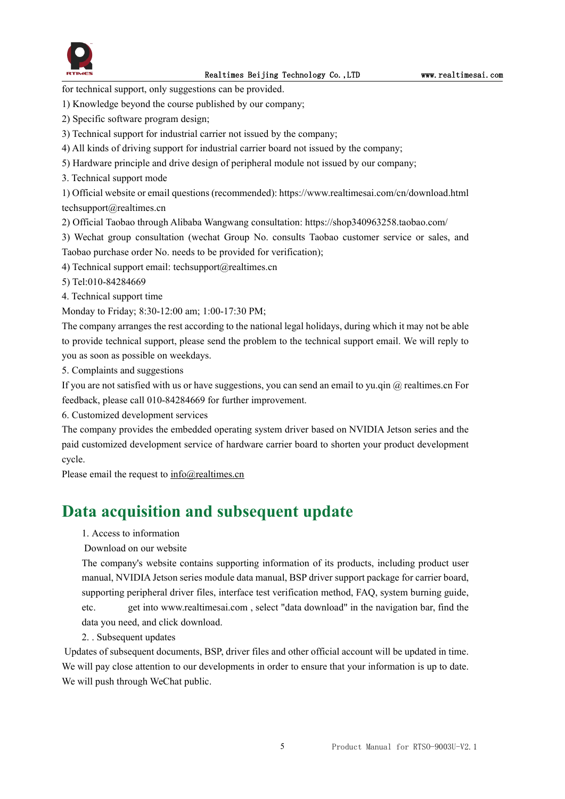

for technical support, only suggestions can be provided.

- 1) Knowledge beyond the course published by our company;
- 2) Specific software program design;
- 3) Technical support for industrial carrier not issued by the company;
- 4) All kinds of driving support for industrial carrier board not issued by the company;
- 5) Hardware principle and drive design of peripheral module not issued by our company;
- 3. Technical support mode

1) Official website or email questions (recommended): https://www.realtimesai.com/cn/download.html techsupport@realtimes.cn

- 2) Official Taobao through Alibaba Wangwang consultation: https://shop340963258.taobao.com/
- 3) Wechat group consultation (wechat Group No. consults Taobao customer service or sales, and Taobao purchase order No. needs to be provided for verification);
- 4) Technical support email: techsupport@realtimes.cn

5) Tel:010-84284669

4. Technical support time

Monday to Friday; 8:30-12:00 am; 1:00-17:30 PM;

The company arranges the rest according to the national legal holidays, during which it may not be able to provide technical support, please send the problem to the technical support email. We will reply to you as soon as possible on weekdays.

5. Complaints and suggestions

If you are not satisfied with us or have suggestions, you can send an email to yu.qin  $\omega$  realtimes.cn For feedback, please call 010-84284669 for further improvement.

6. Customized development services

The company provides the embedded operating system driver based on NVIDIA Jetson series and the paid customized development service of hardware carrier board to shorten your product development cycle.

Please email the request to [info@realtimes.cn](mailto:info@realtimes.cn)

## **Data acquisition and subsequent update**

1. Access to information

Download on our website

The company's website contains supporting information of its products, including product user manual, NVIDIA Jetson series module data manual, BSP driver support package for carrier board, supporting peripheral driver files, interface test verification method, FAQ, system burning guide, etc. get into www.realtimesai.com , select "data download" in the navigation bar, find the data you need, and click download.

2. . Subsequent updates

Updates of subsequent documents, BSP, driver files and other official account will be updated in time. We will pay close attention to our developments in order to ensure that your information is up to date. We will push through WeChat public.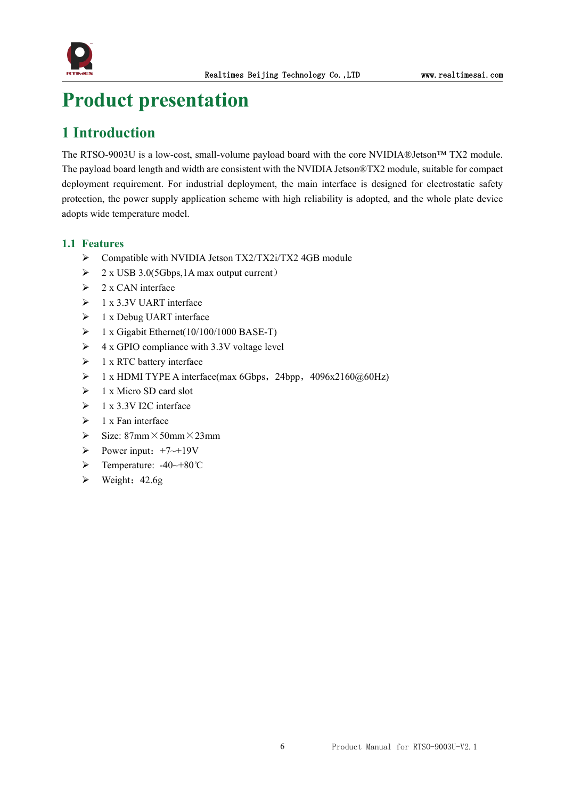

## <span id="page-6-0"></span>**Product presentation**

## <span id="page-6-1"></span>**1 Introduction**

The RTSO-9003U is a low-cost, small-volume payload board with the core NVIDIA®Jetson™ TX2 module. The payload board length and width are consistent with the NVIDIA Jetson®TX2 module, suitable for compact deployment requirement. For industrial deployment, the main interface is designed for electrostatic safety protection, the power supply application scheme with high reliability is adopted, and the whole plate device adopts wide temperature model.

#### <span id="page-6-2"></span>**1.1 Features**

- > Compatible with NVIDIA Jetson TX2/TX2i/TX2 4GB module
- $\geq 2$  x USB 3.0(5Gbps, 1A max output current)
- $\geq 2$  x CAN interface
- $\geq 1$  x 3.3V UART interface
- $\geq 1$  x Debug UART interface
- $\geq 1$  x Gigabit Ethernet(10/100/1000 BASE-T)
- $\triangleright$  4 x GPIO compliance with 3.3V voltage level
- $\geq 1$  x RTC battery interface
- $\triangleright$  1 x HDMI TYPE A interface(max 6Gbps, 24bpp, 4096x2160@60Hz)
- $\geq 1$  x Micro SD card slot
- $\geq 1$  x 3.3V I2C interface
- $\triangleright$  1 x Fan interface
- $\triangleright$  Size: 87mm  $\times$  50mm  $\times$  23mm
- Power input:  $+7 \rightarrow +19V$
- Temperature: -40~+80℃
- $\triangleright$  Weight: 42.6g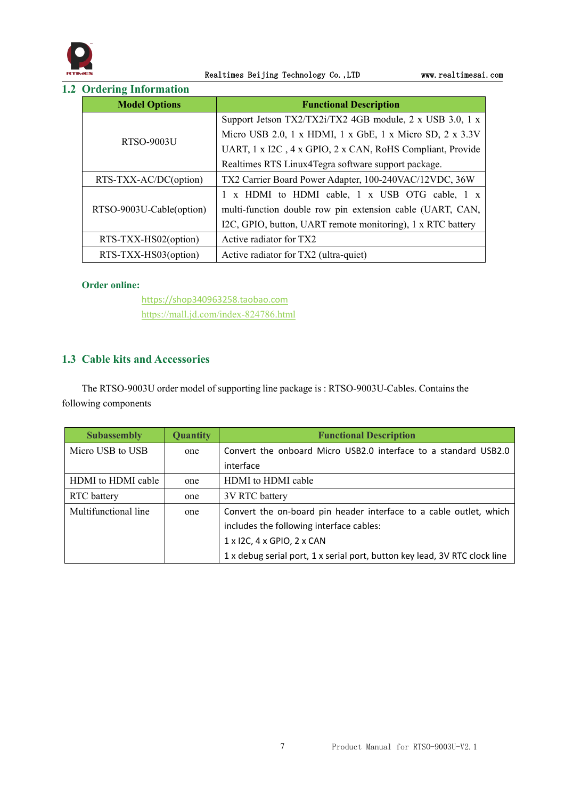

Realtimes Beijing Technology Co., LTD www.realtimesai.com

#### <span id="page-7-0"></span>**1.2 Ordering Information**

| <b>Model Options</b>     | <b>Functional Description</b>                               |
|--------------------------|-------------------------------------------------------------|
|                          | Support Jetson TX2/TX2i/TX2 4GB module, 2 x USB 3.0, 1 x    |
|                          | Micro USB 2.0, 1 x HDMI, 1 x GbE, 1 x Micro SD, 2 x 3.3V    |
| RTSO-9003U               | UART, 1 x I2C, 4 x GPIO, 2 x CAN, RoHS Compliant, Provide   |
|                          | Realtimes RTS Linux4Tegra software support package.         |
| RTS-TXX-AC/DC(option)    | TX2 Carrier Board Power Adapter, 100-240VAC/12VDC, 36W      |
|                          | 1 x HDMI to HDMI cable, 1 x USB OTG cable, 1 x              |
| RTSO-9003U-Cable(option) | multi-function double row pin extension cable (UART, CAN,   |
|                          | I2C, GPIO, button, UART remote monitoring), 1 x RTC battery |
| RTS-TXX-HS02(option)     | Active radiator for TX2                                     |
| RTS-TXX-HS03(option)     | Active radiator for TX2 (ultra-quiet)                       |

#### **Order online:**

<https://shop340963258.taobao.com> <https://mall.jd.com/index-824786.html>

#### <span id="page-7-1"></span>**1.3 Cable kits and Accessories**

The RTSO-9003U order model of supporting line package is : RTSO-9003U-Cables. Contains the following components

| <b>Subassembly</b>   | <b>Quantity</b> | <b>Functional Description</b>                                              |  |
|----------------------|-----------------|----------------------------------------------------------------------------|--|
| Micro USB to USB     | one             | Convert the onboard Micro USB2.0 interface to a standard USB2.0            |  |
|                      |                 | interface                                                                  |  |
| HDMI to HDMI cable   | one             | HDMI to HDMI cable                                                         |  |
| RTC battery          | one             | 3V RTC battery                                                             |  |
| Multifunctional line | one             | Convert the on-board pin header interface to a cable outlet, which         |  |
|                      |                 | includes the following interface cables:                                   |  |
|                      |                 | $1 \times 12$ C, $4 \times$ GPIO, $2 \times$ CAN                           |  |
|                      |                 | 1 x debug serial port, 1 x serial port, button key lead, 3V RTC clock line |  |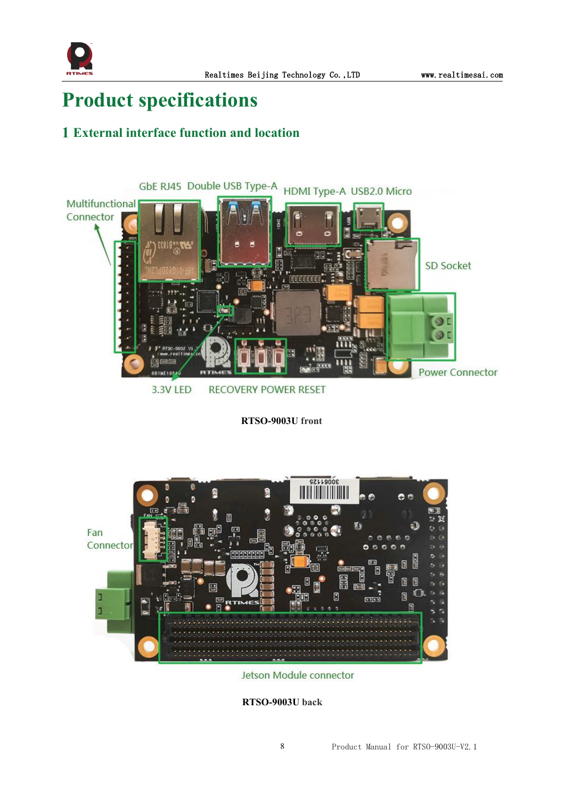

## <span id="page-8-0"></span>**Product specifications**

## <span id="page-8-1"></span>**1 External interface function and location**



**RTSO-9003U front**



Jetson Module connector

**RTSO-9003U back**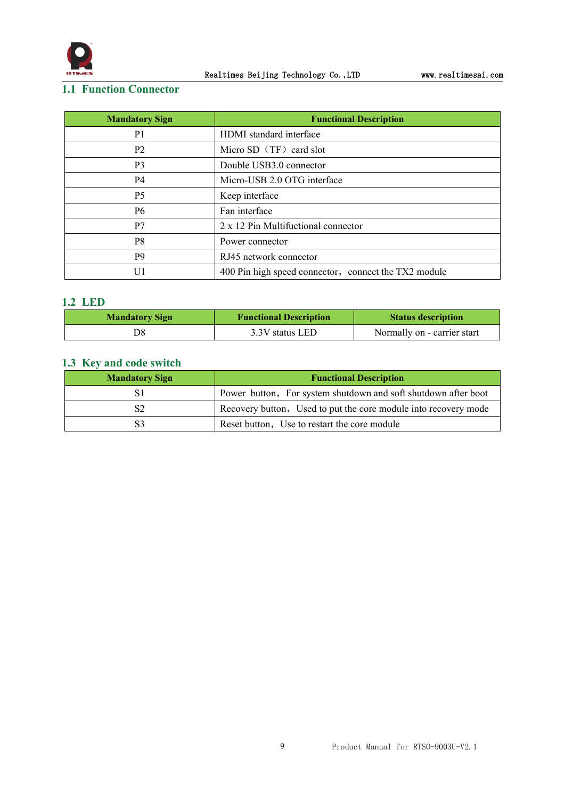

#### <span id="page-9-0"></span>**1.1 Function Connector**

| <b>Mandatory Sign</b> | <b>Functional Description</b>                        |
|-----------------------|------------------------------------------------------|
| P <sub>1</sub>        | HDMI standard interface                              |
| P <sub>2</sub>        | Micro SD $(TF)$ card slot                            |
| P <sub>3</sub>        | Double USB3.0 connector                              |
| P4                    | Micro-USB 2.0 OTG interface                          |
| P <sub>5</sub>        | Keep interface                                       |
| P <sub>6</sub>        | Fan interface                                        |
| P7                    | 2 x 12 Pin Multifuctional connector                  |
| P <sub>8</sub>        | Power connector                                      |
| P <sub>9</sub>        | RJ45 network connector                               |
| U1                    | 400 Pin high speed connector, connect the TX2 module |

#### <span id="page-9-1"></span>**1.2 LED**

| <b>Mandatory Sign</b> | <b>Functional Description</b> | <b>Status description</b>   |
|-----------------------|-------------------------------|-----------------------------|
|                       | 3.3V status LED               | Normally on - carrier start |

#### <span id="page-9-2"></span>**1.3 Key and code switch**

| <b>Mandatory Sign</b> | <b>Functional Description</b>                                   |
|-----------------------|-----------------------------------------------------------------|
|                       | Power button, For system shutdown and soft shutdown after boot  |
|                       | Recovery button, Used to put the core module into recovery mode |
|                       | Reset button, Use to restart the core module                    |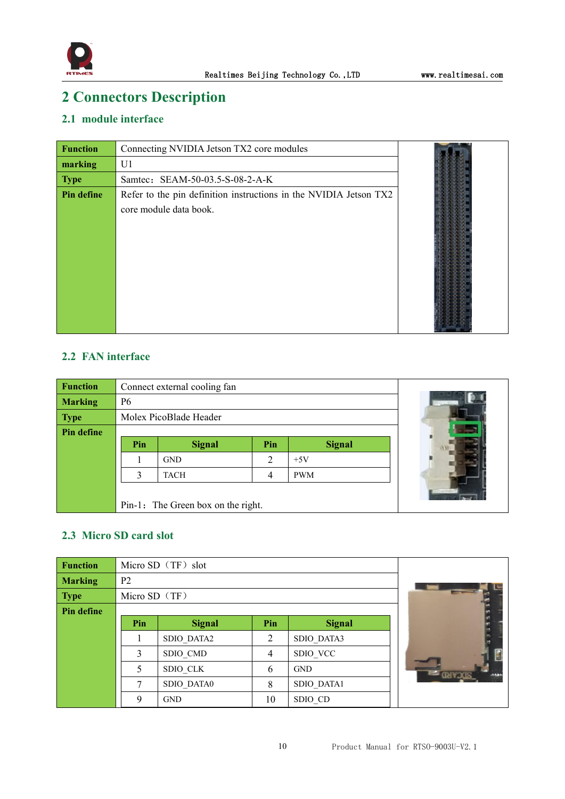

## <span id="page-10-0"></span>**2 Connectors Description**

#### <span id="page-10-1"></span>**2.1 module interface**

| <b>Function</b>   | Connecting NVIDIA Jetson TX2 core modules                                                   |  |
|-------------------|---------------------------------------------------------------------------------------------|--|
| marking           | U1                                                                                          |  |
| <b>Type</b>       | Samtec: SEAM-50-03.5-S-08-2-A-K                                                             |  |
| <b>Pin define</b> | Refer to the pin definition instructions in the NVIDIA Jetson TX2<br>core module data book. |  |

#### <span id="page-10-2"></span>**2.2 FAN interface**

| <b>Function</b> |                | Connect external cooling fan       |                |               |  |
|-----------------|----------------|------------------------------------|----------------|---------------|--|
| <b>Marking</b>  | P <sub>6</sub> |                                    |                |               |  |
| <b>Type</b>     |                | Molex PicoBlade Header             |                |               |  |
| Pin define      |                |                                    |                |               |  |
|                 | Pin            | <b>Signal</b>                      | Pin            | <b>Signal</b> |  |
|                 |                | <b>GND</b>                         | $\overline{2}$ | $+5V$         |  |
|                 |                | <b>TACH</b>                        | 4              | <b>PWM</b>    |  |
|                 |                |                                    |                |               |  |
|                 |                | Pin-1: The Green box on the right. |                |               |  |

#### <span id="page-10-3"></span>**2.3 Micro SD card slot**

| <b>Function</b> |                 | Micro SD (TF) slot |                |               |  |
|-----------------|-----------------|--------------------|----------------|---------------|--|
| <b>Marking</b>  | P <sub>2</sub>  |                    |                |               |  |
| <b>Type</b>     | Micro SD $(TF)$ |                    |                |               |  |
| Pin define      |                 |                    |                |               |  |
|                 | Pin             | <b>Signal</b>      | Pin            | <b>Signal</b> |  |
|                 |                 | SDIO DATA2         | $\overline{2}$ | SDIO DATA3    |  |
|                 | 3               | SDIO CMD           | $\overline{4}$ | SDIO VCC      |  |
|                 | 5               | SDIO CLK           | 6              | <b>GND</b>    |  |
|                 | 7               | SDIO DATA0         | 8              | SDIO DATA1    |  |
|                 | $\mathbf Q$     | <b>GND</b>         | 10             | SDIO_CD       |  |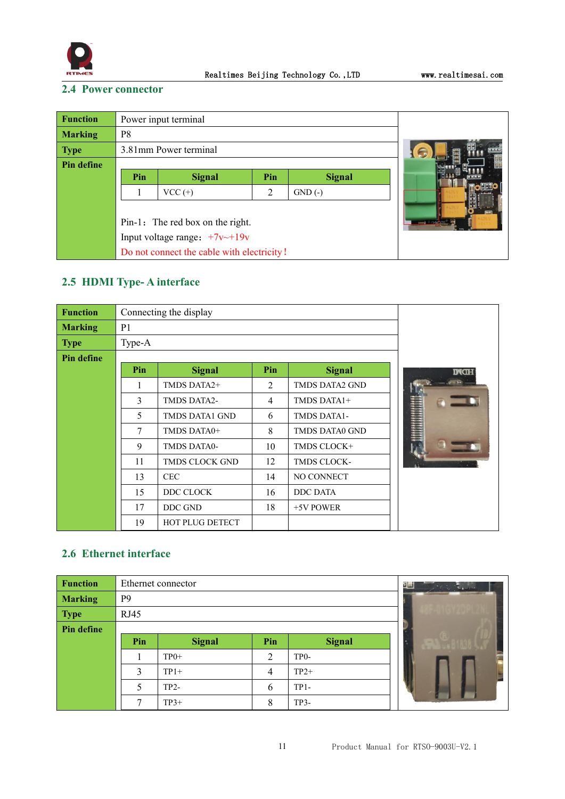

#### <span id="page-11-0"></span>**2.4 Power connector**

| <b>Function</b> |                       | Power input terminal                       |  |  |
|-----------------|-----------------------|--------------------------------------------|--|--|
| <b>Marking</b>  | P <sub>8</sub>        |                                            |  |  |
| <b>Type</b>     | 3.81mm Power terminal | G                                          |  |  |
| Pin define      |                       |                                            |  |  |
|                 | Pin                   | <b>Signal</b>                              |  |  |
|                 |                       | $VCC (+)$                                  |  |  |
|                 |                       |                                            |  |  |
|                 |                       | Pin-1: The red box on the right.           |  |  |
|                 |                       | Input voltage range: $+7v$ $+19v$          |  |  |
|                 |                       | Do not connect the cable with electricity! |  |  |

### <span id="page-11-1"></span>**2.5 HDMI Type- A interface**

| <b>Function</b> |                | Connecting the display |                |                    |             |
|-----------------|----------------|------------------------|----------------|--------------------|-------------|
| <b>Marking</b>  | P <sub>1</sub> |                        |                |                    |             |
| <b>Type</b>     | Type-A         |                        |                |                    |             |
| Pin define      |                |                        |                |                    |             |
|                 | Pin            | <b>Signal</b>          | Pin            | <b>Signal</b>      | <b>INCH</b> |
|                 | 1              | TMDS DATA2+            | $\overline{2}$ | TMDS DATA2 GND     |             |
|                 | 3              | TMDS DATA2-            | $\overline{4}$ | TMDS DATA1+        |             |
|                 | 5              | TMDS DATA1 GND         | 6              | <b>TMDS DATA1-</b> |             |
|                 | $\tau$         | TMDS DATA0+            | 8              | TMDS DATA0 GND     |             |
|                 | 9              | TMDS DATA0-            | 10             | TMDS CLOCK+        |             |
|                 | 11             | TMDS CLOCK GND         | 12             | TMDS CLOCK-        |             |
|                 | 13             | <b>CEC</b>             | 14             | NO CONNECT         |             |
|                 | 15             | DDC CLOCK              | 16             | <b>DDC DATA</b>    |             |
|                 | 17             | DDC GND                | 18             | +5V POWER          |             |
|                 | 19             | <b>HOT PLUG DETECT</b> |                |                    |             |

#### <span id="page-11-2"></span>**2.6 Ethernet interface**

| <b>Function</b> | Ethernet connector<br>国会<br>$\mathbf{L}_{\mathbf{A}} = \mathbf{I}^{\text{max}}$ |               |                |                   |  |  |
|-----------------|---------------------------------------------------------------------------------|---------------|----------------|-------------------|--|--|
| <b>Marking</b>  | P <sub>9</sub>                                                                  |               |                |                   |  |  |
| <b>Type</b>     | RJ45                                                                            |               |                |                   |  |  |
| Pin define      |                                                                                 |               |                |                   |  |  |
|                 | Pin                                                                             | <b>Signal</b> | Pin            | <b>Signal</b>     |  |  |
|                 |                                                                                 | $TP0+$        | $\overline{2}$ | TP <sub>0</sub> - |  |  |
|                 | 3                                                                               | $TP1+$        | 4              | $TP2+$            |  |  |
|                 | 5                                                                               | $TP2-$        | 6              | $TP1-$            |  |  |
|                 | ┑                                                                               | $TP3+$        | 8              | $TP3-$            |  |  |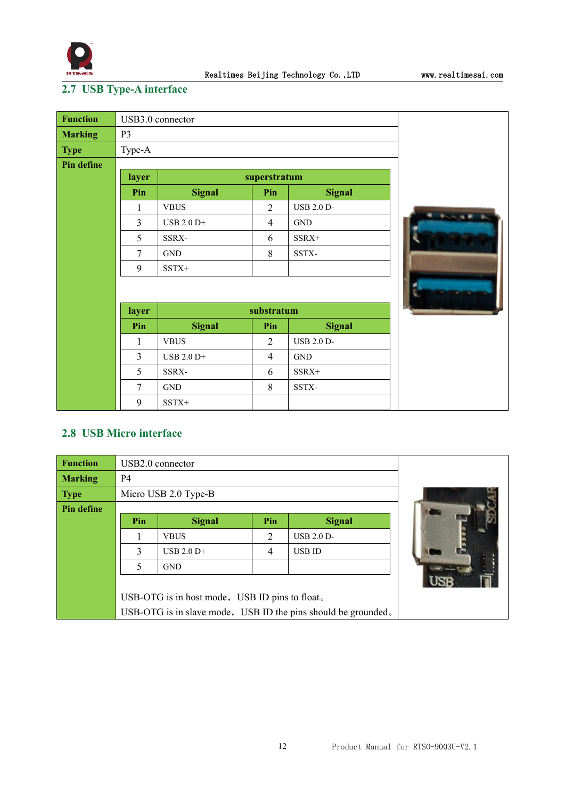

## <span id="page-12-0"></span>**2.7 USB Type-A interface**

| <b>Function</b>   | USB3.0 connector |                      |                |                   |  |  |
|-------------------|------------------|----------------------|----------------|-------------------|--|--|
| <b>Marking</b>    | P <sub>3</sub>   |                      |                |                   |  |  |
| <b>Type</b>       | Type-A           |                      |                |                   |  |  |
| <b>Pin define</b> |                  |                      |                |                   |  |  |
|                   | layer            |                      | superstratum   |                   |  |  |
|                   | Pin              | <b>Signal</b>        | Pin            | <b>Signal</b>     |  |  |
|                   | 1                | <b>VBUS</b>          | $\overline{2}$ | <b>USB 2.0 D-</b> |  |  |
|                   | $\overline{3}$   | USB 2.0 D+           | $\overline{4}$ | <b>GND</b>        |  |  |
|                   | 5                | SSRX-                | 6              | SSRX+             |  |  |
|                   | 7                | $\operatorname{GND}$ | 8              | SSTX-             |  |  |
|                   | 9                | $SSTX+$              |                |                   |  |  |
|                   |                  |                      |                |                   |  |  |
|                   |                  |                      |                |                   |  |  |
|                   | layer            |                      | substratum     |                   |  |  |
|                   | Pin              | <b>Signal</b>        | Pin            | <b>Signal</b>     |  |  |
|                   | 1                | <b>VBUS</b>          | $\overline{2}$ | <b>USB 2.0 D-</b> |  |  |
|                   | 3                | USB 2.0 D+           | $\overline{4}$ | <b>GND</b>        |  |  |
|                   | 5                | SSRX-                | 6              | SSRX+             |  |  |
|                   | $\overline{7}$   | <b>GND</b>           | 8              | SSTX-             |  |  |
|                   | 9                | SSTX+                |                |                   |  |  |

#### <span id="page-12-1"></span>**2.8 USB Micro interface**

| <b>Function</b> | USB2.0 connector                                              |                                                |     |                   |  |  |  |
|-----------------|---------------------------------------------------------------|------------------------------------------------|-----|-------------------|--|--|--|
| <b>Marking</b>  | <b>P4</b>                                                     |                                                |     |                   |  |  |  |
| <b>Type</b>     | Micro USB 2.0 Type-B                                          |                                                |     |                   |  |  |  |
| Pin define      |                                                               |                                                |     |                   |  |  |  |
|                 | Pin                                                           | <b>Signal</b>                                  | Pin | <b>Signal</b>     |  |  |  |
|                 |                                                               | <b>VBUS</b>                                    | 2   | <b>USB 2.0 D-</b> |  |  |  |
|                 | 3                                                             | <b>USB 2.0 D+</b>                              | 4   | USB ID            |  |  |  |
|                 | $\varsigma$                                                   | <b>GND</b>                                     |     |                   |  |  |  |
|                 |                                                               |                                                |     |                   |  |  |  |
|                 |                                                               | USB-OTG is in host mode, USB ID pins to float. |     |                   |  |  |  |
|                 | USB-OTG is in slave mode, USB ID the pins should be grounded. |                                                |     |                   |  |  |  |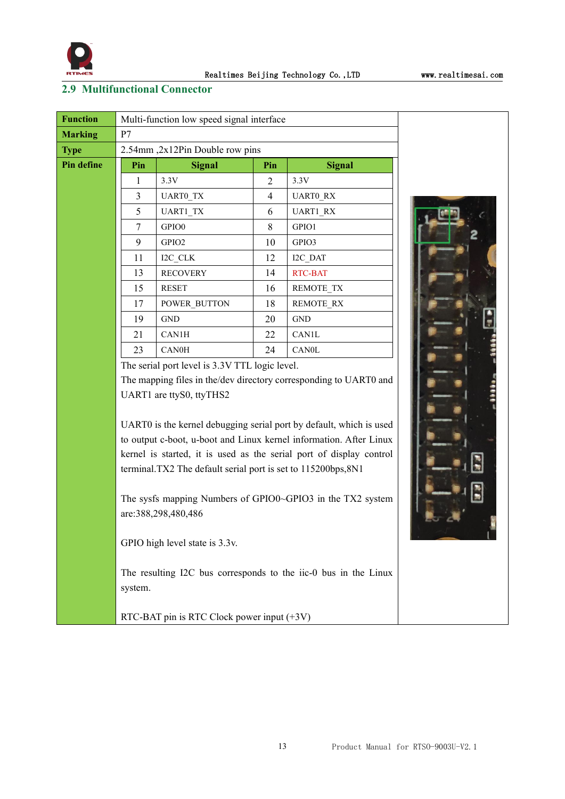

#### <span id="page-13-0"></span>**2.9 Multifunctional Connector**

| <b>Function</b> | Multi-function low speed signal interface |                                               |                |                  |  |  |
|-----------------|-------------------------------------------|-----------------------------------------------|----------------|------------------|--|--|
| <b>Marking</b>  | P7                                        |                                               |                |                  |  |  |
| <b>Type</b>     |                                           | 2.54mm, 2x12Pin Double row pins               |                |                  |  |  |
| Pin define      | Pin                                       | <b>Signal</b>                                 | Pin            | <b>Signal</b>    |  |  |
|                 | 1                                         | 3.3V                                          | $\overline{2}$ | 3.3V             |  |  |
|                 | 3                                         | UART0 TX                                      | 4              | <b>UARTO RX</b>  |  |  |
|                 | 5                                         | UART1_TX                                      | 6              | UART1_RX         |  |  |
|                 | 7                                         | GPIO0                                         | 8              | GPIO1            |  |  |
|                 | 9                                         | GPIO <sub>2</sub>                             | 10             | GPIO3            |  |  |
|                 | 11                                        | I2C CLK                                       | 12             | I2C DAT          |  |  |
|                 | 13                                        | <b>RECOVERY</b>                               | 14             | <b>RTC-BAT</b>   |  |  |
|                 | 15                                        | <b>RESET</b>                                  | 16             | REMOTE TX        |  |  |
|                 | 17                                        | POWER BUTTON                                  | 18             | <b>REMOTE RX</b> |  |  |
|                 | 19                                        | <b>GND</b>                                    | 20             | <b>GND</b>       |  |  |
|                 | 21                                        | CAN1H                                         | 22             | CAN1L            |  |  |
|                 | 23                                        | <b>CAN0H</b>                                  | 24             | <b>CAN0L</b>     |  |  |
|                 |                                           | The serial port level is 2.2V TTI logic level |                |                  |  |  |

The serial port level is 3.3V TTL logic level.

The mapping files in the/dev directory corresponding to UART0 and UART1 are ttyS0, ttyTHS2

UART0 is the kernel debugging serial port by default, which is used to output c-boot, u-boot and Linux kernel information. After Linux kernel is started, it is used as the serial port of display control terminal.TX2 The default serial port is set to 115200bps,8N1

The sysfs mapping Numbers of GPIO0~GPIO3 in the TX2 system are:388,298,480,486

GPIO high level state is 3.3v.

The resulting I2C bus corresponds to the iic-0 bus in the Linux system.

RTC-BAT pin is RTC Clock power input (+3V)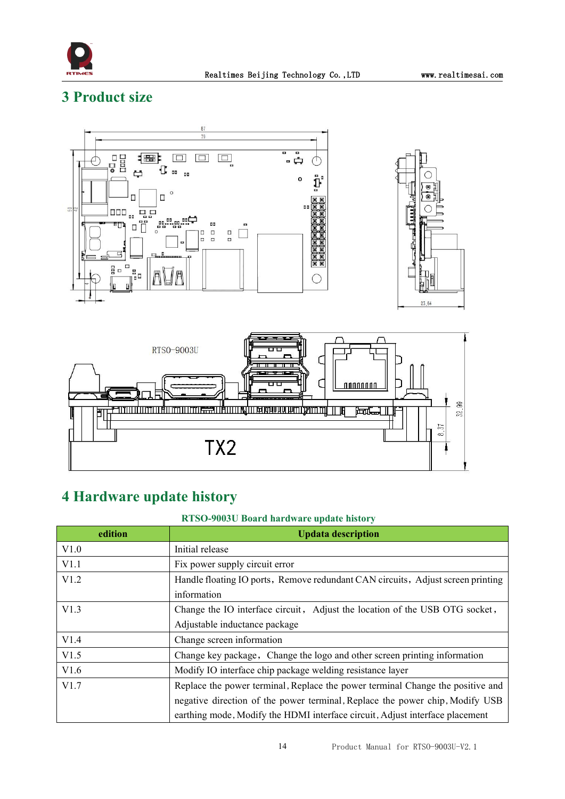

## <span id="page-14-0"></span>**3 Product size**



## <span id="page-14-1"></span>**4 Hardware update history**

#### **RTSO-9003U Board hardware update history**

| edition | <b>Updata description</b>                                                       |  |  |  |
|---------|---------------------------------------------------------------------------------|--|--|--|
| V1.0    | Initial release                                                                 |  |  |  |
| V1.1    | Fix power supply circuit error                                                  |  |  |  |
| V1.2    | Handle floating IO ports, Remove redundant CAN circuits, Adjust screen printing |  |  |  |
|         | information                                                                     |  |  |  |
| V1.3    | Change the IO interface circuit, Adjust the location of the USB OTG socket,     |  |  |  |
|         | Adjustable inductance package                                                   |  |  |  |
| V1.4    | Change screen information                                                       |  |  |  |
| V1.5    | Change key package, Change the logo and other screen printing information       |  |  |  |
| V1.6    | Modify IO interface chip package welding resistance layer                       |  |  |  |
| V1.7    | Replace the power terminal, Replace the power terminal Change the positive and  |  |  |  |
|         | negative direction of the power terminal, Replace the power chip, Modify USB    |  |  |  |
|         | earthing mode, Modify the HDMI interface circuit, Adjust interface placement    |  |  |  |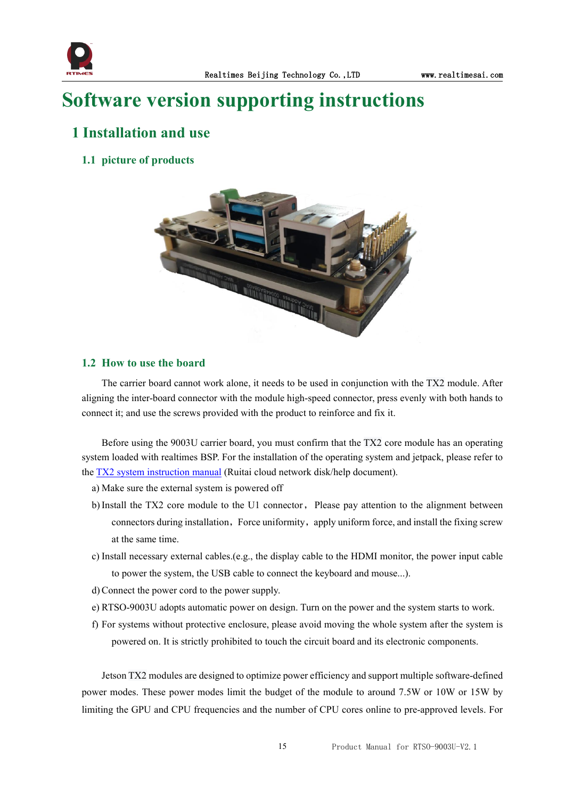

## <span id="page-15-0"></span>**Software version supporting instructions**

### <span id="page-15-1"></span>**1 Installation and use**

#### <span id="page-15-2"></span>**1.1 picture of products**



#### <span id="page-15-3"></span>**1.2 How to use the board**

The carrier board cannot work alone, it needs to be used in conjunction with the TX2 module. After aligning the inter-board connector with the module high-speed connector, press evenly with both hands to connect it; and use the screws provided with the product to reinforce and fix it.

Before using the 9003U carrier board, you must confirm that the TX2 core module has an operating system loaded with realtimes BSP. For the installation of the operating system and jetpack, please refer to the  $TX2$  system instruction manual (Ruitai cloud network disk/help document).<br>a) Make sure the external system is powered off

- 
- b)Install the TX2 core module to the U1 connector, Please pay attention to the alignment between connectors during installation, Force uniformity, apply uniform force, and install the fixing screw at the same time.
- c) Install necessary external cables.(e.g., the display cable to the HDMI monitor, the power input cable to power the system, the USB cable to connect the keyboard and mouse...).
- d)Connect the power cord to the power supply.
- e) RTSO-9003U adopts automatic power on design. Turn on the power and the system starts to work.
- f) For systems without protective enclosure, please avoid moving the whole system after the system is powered on. It is strictly prohibited to touch the circuit board and its electronic components.

Jetson TX2 modules are designed to optimize power efficiency and support multiple software-defined power modes. These power modes limit the budget of the module to around 7.5W or 10W or 15W by limiting the GPU and CPU frequencies and the number of CPU cores online to pre-approved levels. For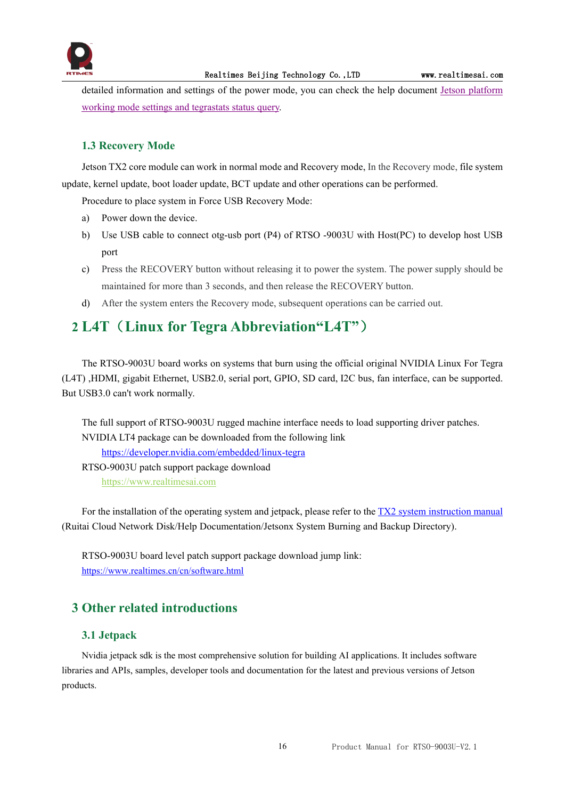

detailed information and settings of the power mode, you can check the help document Jetson [platform](http://yun.realtimes.cn/) working mode settings and tegrastats status query.

#### <span id="page-16-0"></span>**1.3 Recovery Mode**

Jetson TX2 core module can work in normal mode and Recovery mode, In the Recovery mode, file system update, kernel update, boot loader update, BCT update and other operations can be performed.

Procedure to place system in Force USB Recovery Mode:

- a) Power down the device.
- b) Use USB cable to connect otg-usb port (P4) of RTSO -9003U with Host(PC) to develop host USB port
- c) Press the RECOVERY button without releasing it to power the system. The power supply should be maintained for more than 3 seconds, and then release the RECOVERY button.
- d) After the system enters the Recovery mode, subsequent operations can be carried out.

## <span id="page-16-1"></span>**2 L4T**(**Linux for Tegra Abbreviation"L4T"**)

The RTSO-9003U board works on systems that burn using the official original NVIDIA Linux For Tegra (L4T) ,HDMI, gigabit Ethernet, USB2.0, serial port, GPIO, SD card, I2C bus, fan interface, can be supported. But USB3.0 can't work normally.

The full support of RTSO-9003U rugged machine interface needs to load supporting driver patches. NVIDIA LT4 package can be downloaded from the following link <https://developer.nvidia.com/embedded/linux-tegra> RTSO-9003U patch support package download [https://www.realtimesai.com](https://www.realtimesai.com/en/software.html)

For the installation of the operating system and jetpack, please refer to the TX2 system [instruction](http://yun.realtimes.cn/) manual (Ruitai Cloud Network Disk/Help Documentation/Jetsonx System Burning and Backup Directory).

RTSO-9003U board level patch support package download jump link: <https://www.realtimes.cn/cn/software.html>

#### <span id="page-16-2"></span>**3 Other related introductions**

#### <span id="page-16-3"></span>**3.1 Jetpack**

Nvidia jetpack sdk is the most comprehensive solution for building AI applications. It includes software libraries and APIs, samples, developer tools and documentation for the latest and previous versions of Jetson products.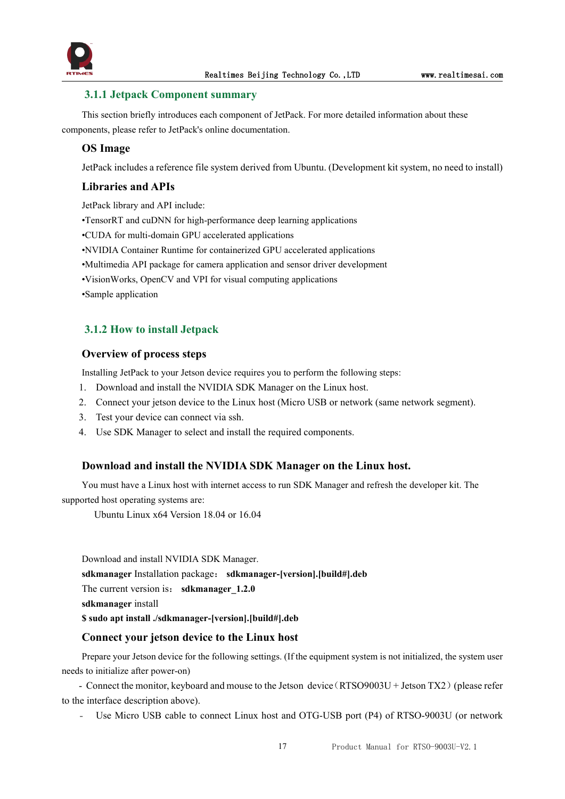

#### <span id="page-17-0"></span>**3.1.1 Jetpack Component summary**

This section briefly introduces each component of JetPack. For more detailed information about these components, please refer to JetPack's online documentation.

#### **OS Image**

JetPack includes a reference file system derived from Ubuntu. (Development kit system, no need to install)

#### **Libraries and APIs**

JetPack library and API include:

•TensorRT and cuDNN for high-performance deep learning applications

•CUDA for multi-domain GPU accelerated applications

•NVIDIA Container Runtime for containerized GPU accelerated applications

•Multimedia API package for camera application and sensor driver development

•VisionWorks, OpenCV and VPI for visual computing applications

•Sample application

#### <span id="page-17-1"></span>**3.1.2 How to install Jetpack**

#### **Overview of process steps**

Installing JetPack to your Jetson device requires you to perform the following steps:

- 1. Download and install the NVIDIA SDK Manager on the Linux host.
- 2. Connect your jetson device to the Linux host (Micro USB or network (same network segment).
- 3. Test your device can connect via ssh.
- 4. Use SDK Manager to select and install the required components.

#### **Download and install the NVIDIA SDK Manager on the Linux host.**

You must have a Linux host with internet access to run SDK Manager and refresh the developer kit.The supported host operating systems are:

Ubuntu Linux x64 Version 18.04 or 16.04

Download and install NVIDIA SDK Manager. **sdkmanager** Installation package: **sdkmanager-[version].[build#].deb** The current version is: **sdkmanager** 1.2.0 **sdkmanager** install **\$ sudo apt install ./sdkmanager-[version].[build#].deb**

#### **Connect your jetson device to the Linux host**

Prepare your Jetson device for the following settings. (If the equipment system is not initialized, the system user needs to initialize after power-on)

- Connect the monitor, keyboard and mouse to the Jetson device (RTSO9003U + Jetson TX2) (please refer to the interface description above).

Use Micro USB cable to connect Linux host and OTG-USB port (P4) of RTSO-9003U (or network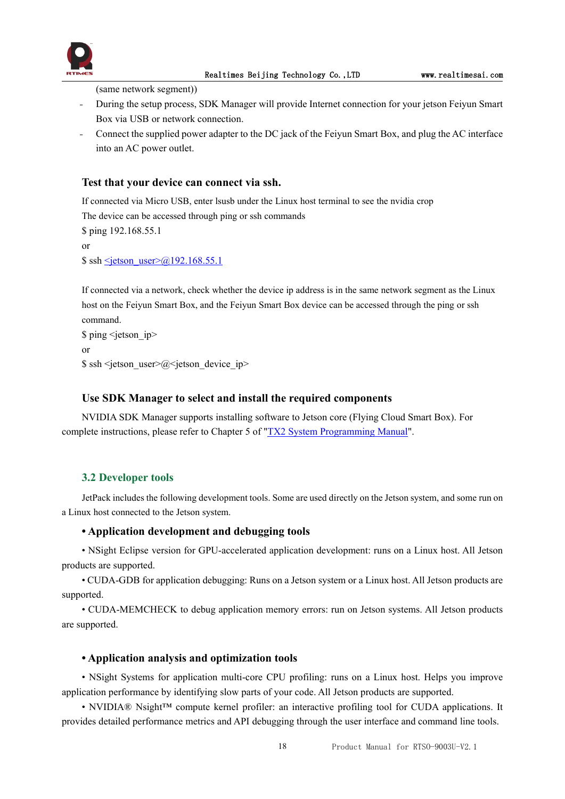

(same network segment))

- During the setup process, SDK Manager will provide Internet connection for your jetson Feiyun Smart Box via USB or network connection.
- Connect the supplied power adapter to the DC jack of the Feiyun Smart Box, and plug the AC interface into an AC power outlet.

#### **Test that your device can connect via ssh.**

If connected via Micro USB, enter lsusb under the Linux host terminal to see the nvidia crop

The device can be accessed through ping or ssh commands

\$ ping 192.168.55.1 or

 $\$  ssh  $\le$ jetson\_user $\ge$ @192.168.55.1

If connected via a network, check whether the device ip address is in the same network segment as the Linux host on the Feiyun Smart Box, and the Feiyun Smart Box device can be accessed through the ping or ssh command.

```
$ ping <jetson ip>
or
\ ssh < jetson user\geq@< jetson device ip>
```
#### **Use SDK Manager to select and install the required components**

NVIDIA SDK Manager supports installing software to Jetson core (Flying Cloud Smart Box). For complete instructions, please refer to Chapter 5 of "TX2 System [Programming](http://yun.realtimes.cn/) Manual".

#### <span id="page-18-0"></span>**3.2 Developer tools**

JetPack includes the following development tools. Some are used directly on the Jetson system, and some run on a Linux host connected to the Jetson system.

#### **• Application development and debugging tools**

• NSight Eclipse version for GPU-accelerated application development: runs on a Linux host. All Jetson products are supported.

• CUDA-GDB for application debugging: Runs on a Jetson system or a Linux host. All Jetson products are supported.

• CUDA-MEMCHECK to debug application memory errors: run on Jetson systems. All Jetson products are supported.

#### **• Application analysis and optimization tools**

• NSight Systems for application multi-core CPU profiling: runs on a Linux host. Helps you improve application performance by identifying slow parts of your code. All Jetson products are supported.

• NVIDIA® Nsight™ compute kernel profiler: an interactive profiling tool for CUDA applications. It provides detailed performance metrics and API debugging through the user interface and command line tools.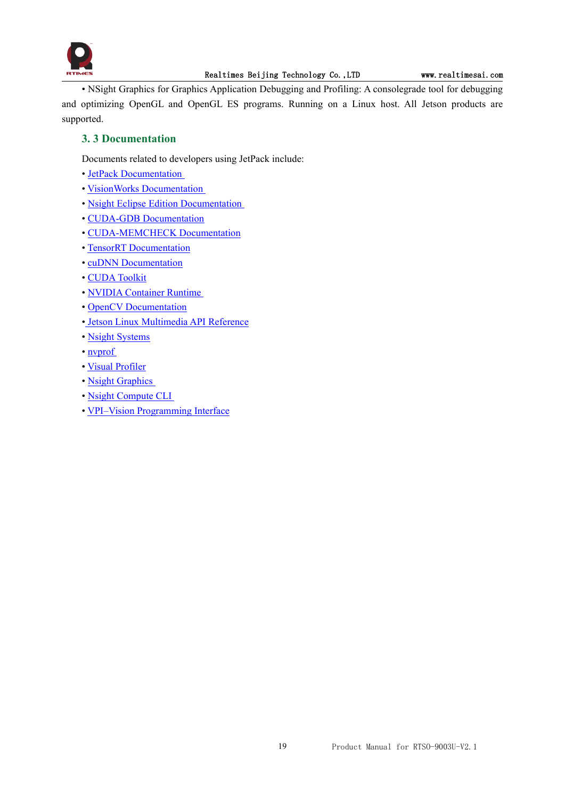

• NSight Graphics for Graphics Application Debugging and Profiling: A consolegrade tool for debugging and optimizing OpenGL and OpenGL ES programs. Running on a Linux host. All Jetson products are supported.

#### <span id="page-19-0"></span>**3. 3 Documentation**

Documents related to developers using JetPack include:

- JetPack [Documentation](https://docs.nvidia.com/jetson/jetpack/index.html)
- VisionWorks [Documentation](https://developer.nvidia.com/embedded/visionworks)
- Nsight Eclipse Edition [Documentation](https://docs.nvidia.com/cuda/nsight-eclipse-edition-getting-started-guide/index.html)
- CUDA-GDB [Documentation](http://docs.nvidia.com/cuda/cuda-gdb/index.html)
- [CUDA-MEMCHECK](http://docs.nvidia.com/cuda/cuda-memcheck/index.html) Documentation
- TensorRT [Documentation](https://docs.nvidia.com/deeplearning/sdk/tensorrt-developer-guide/index.html)
- cuDNN [Documentation](https://docs.nvidia.com/deeplearning/sdk/cudnn-developer-guide/index.html)
- CUDA [Toolkit](https://docs.nvidia.com/cuda/index.html)
- NVIDIA [Container](https://www.google.com/url?q=https://github.com/NVIDIA/nvidia-docker/wiki%23platform-support&sa=D&ust=1562106101392000&usg=AFQjCNG6YZBlyXRWjcpGIYF8fkBkYt9RsA) Runtime
- OpenCV [Documentation](https://developer.nvidia.com/opencv)
- Jetson Linux [Multimedia](https://docs.nvidia.com/jetson/l4t-multimedia/index.html) API Reference
- Nsight [Systems](https://docs.nvidia.com/nsight-systems/index.html)
- [nvprof](https://docs.nvidia.com/cuda/profiler-users-guide/index.html)
- Visual [Profiler](http://docs.nvidia.com/cuda/profiler-users-guide/index.html)
- Nsight [Graphics](https://docs.nvidia.com/nsight-graphics/index.html)
- Nsight [Compute](https://docs.nvidia.com/nsight-compute/NsightComputeCli/index.html) CLI
- VPI–Vision [Programming](https://docs.nvidia.com/vpi/index.html) Interface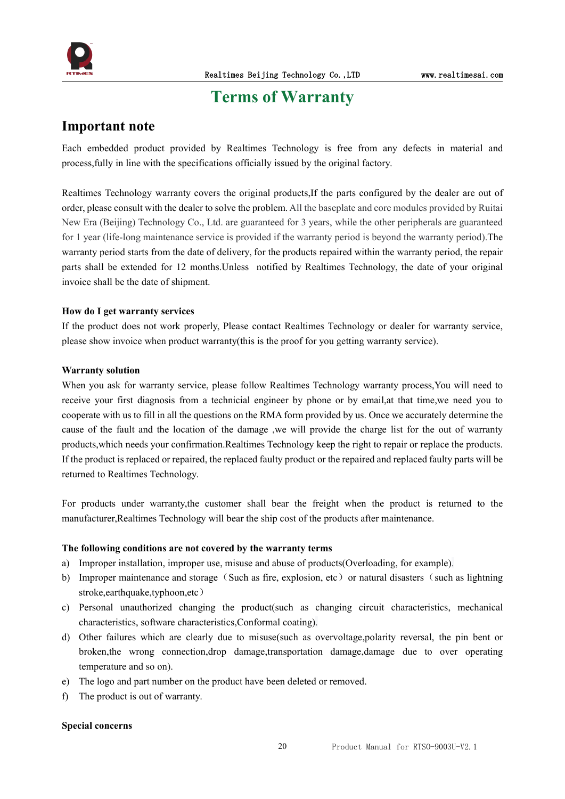

## <span id="page-20-0"></span>**Terms** of Warranty

#### **Important note**

Each embedded product provided by Realtimes Technology is free from any defects in material and process,fully in line with the specifications officially issued by the original factory.

Realtimes Technology warranty covers the original products,If the parts configured by the dealer are out of order, please consult with the dealer to solve the problem. All the baseplate and core modules provided by Ruitai New Era (Beijing) Technology Co., Ltd. are guaranteed for 3 years, while the other peripherals are guaranteed for 1 year (life-long maintenance service is provided if the warranty period is beyond the warranty period).The warranty period starts from the date of delivery, for the products repaired within the warranty period, the repair parts shall be extended for 12 months.Unless notified by Realtimes Technology, the date of your original invoice shall be the date of shipment.

#### **How do I get warranty services**

If the product does not work properly, Please contact Realtimes Technology or dealer for warranty service, please show invoice when product warranty(this is the proof for you getting warranty service).

#### **Warranty solution**

When you ask for warranty service, please follow Realtimes Technology warranty process, You will need to receive your first diagnosis from a technicial engineer by phone or by email,at that time,we need you to cooperate with us to fill in all the questions on the RMA form provided by us. Once we accurately determine the cause of the fault and the location of the damage ,we will provide the charge list for the out of warranty products,which needs your confirmation.Realtimes Technology keep the right to repair or replace the products. If the product is replaced or repaired, the replaced faulty product or the repaired and replaced faulty parts will be returned to Realtimes Technology.

For products under warranty,the customer shall bear the freight when the product is returned to the manufacturer,Realtimes Technology will bear the ship cost of the products after maintenance.

#### **The following conditions are not covered by the warranty terms**

- a) Improper installation, improper use, misuse and abuse of products(Overloading, for example).
- b) Improper maintenance and storage (Such as fire, explosion, etc) or natural disasters (such as lightning stroke,earthquake,typhoon,etc)
- c) Personal unauthorized changing the product(such as changing circuit characteristics, mechanical characteristics, software characteristics,Conformal coating).
- d) Other failures which are clearly due to misuse(such as overvoltage,polarity reversal, the pin bent or broken,the wrong connection,drop damage,transportation damage,damage due to over operating temperature and so on).
- e) The logo and part number on the product have been deleted or removed.
- f) The product is out of warranty.

#### **Special concerns**